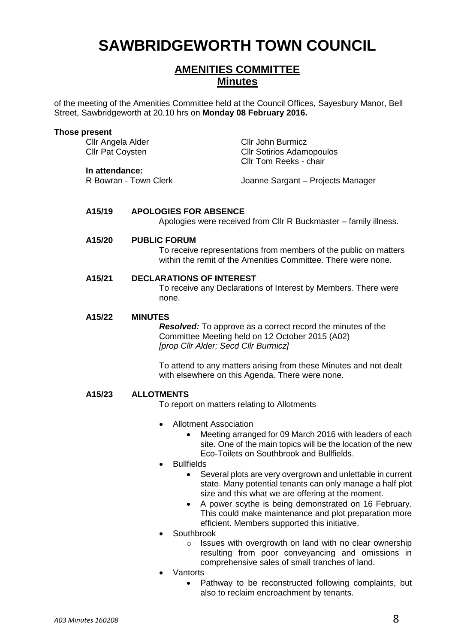# **SAWBRIDGEWORTH TOWN COUNCIL**

## **AMENITIES COMMITTEE Minutes**

of the meeting of the Amenities Committee held at the Council Offices, Sayesbury Manor, Bell Street, Sawbridgeworth at 20.10 hrs on **Monday 08 February 2016.**

| <b>Those present</b> | Cllr Angela Alder<br><b>Cllr Pat Coysten</b><br>In attendance:<br>R Bowran - Town Clerk |                                                                                                                                                                                 | <b>Cllr John Burmicz</b><br><b>CIIr Sotirios Adamopoulos</b><br>Cllr Tom Reeks - chair<br>Joanne Sargant - Projects Manager |  |
|----------------------|-----------------------------------------------------------------------------------------|---------------------------------------------------------------------------------------------------------------------------------------------------------------------------------|-----------------------------------------------------------------------------------------------------------------------------|--|
|                      | A15/19                                                                                  | <b>APOLOGIES FOR ABSENCE</b>                                                                                                                                                    | Apologies were received from Cllr R Buckmaster - family illness.                                                            |  |
|                      | A15/20                                                                                  | <b>PUBLIC FORUM</b><br>To receive representations from members of the public on matters<br>within the remit of the Amenities Committee. There were none.                        |                                                                                                                             |  |
|                      | A15/21<br><b>DECLARATIONS OF INTEREST</b><br>none.                                      |                                                                                                                                                                                 | To receive any Declarations of Interest by Members. There were                                                              |  |
|                      | A15/22                                                                                  | <b>MINUTES</b><br><b>Resolved:</b> To approve as a correct record the minutes of the<br>Committee Meeting held on 12 October 2015 (A02)<br>[prop Cllr Alder; Secd Cllr Burmicz] |                                                                                                                             |  |
|                      |                                                                                         |                                                                                                                                                                                 | To attend to any matters arising from these Minutes and not dealt<br>with elsewhere on this Agenda. There were none.        |  |
|                      | A15/23                                                                                  | <b>ALLOTMENTS</b><br>To report on matters relating to Allotments                                                                                                                |                                                                                                                             |  |
|                      |                                                                                         | Allotment Association<br>$\bullet$                                                                                                                                              |                                                                                                                             |  |

- Meeting arranged for 09 March 2016 with leaders of each site. One of the main topics will be the location of the new Eco-Toilets on Southbrook and Bullfields.
- Bullfields
	- Several plots are very overgrown and unlettable in current state. Many potential tenants can only manage a half plot size and this what we are offering at the moment.
	- A power scythe is being demonstrated on 16 February. This could make maintenance and plot preparation more efficient. Members supported this initiative.
- **Southbrook** 
	- o Issues with overgrowth on land with no clear ownership resulting from poor conveyancing and omissions in comprehensive sales of small tranches of land.
- Vantorts
	- Pathway to be reconstructed following complaints, but also to reclaim encroachment by tenants.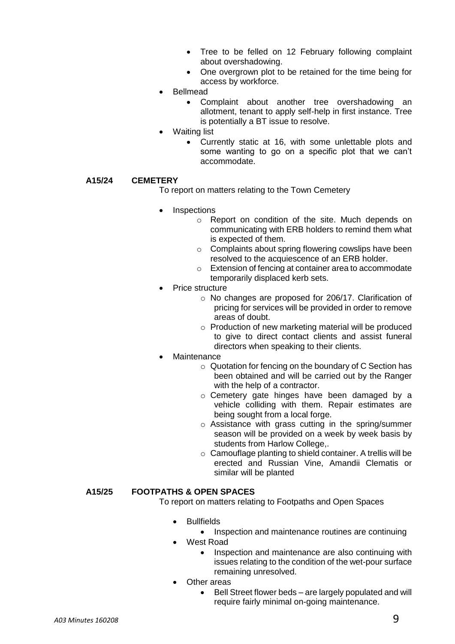- Tree to be felled on 12 February following complaint about overshadowing.
- One overgrown plot to be retained for the time being for access by workforce.
- Bellmead
	- Complaint about another tree overshadowing an allotment, tenant to apply self-help in first instance. Tree is potentially a BT issue to resolve.
- Waiting list
	- Currently static at 16, with some unlettable plots and some wanting to go on a specific plot that we can't accommodate.

### **A15/24 CEMETERY**

To report on matters relating to the Town Cemetery

- **Inspections** 
	- o Report on condition of the site. Much depends on communicating with ERB holders to remind them what is expected of them.
	- o Complaints about spring flowering cowslips have been resolved to the acquiescence of an ERB holder.
	- o Extension of fencing at container area to accommodate temporarily displaced kerb sets.
- Price structure
	- o No changes are proposed for 206/17. Clarification of pricing for services will be provided in order to remove areas of doubt.
	- o Production of new marketing material will be produced to give to direct contact clients and assist funeral directors when speaking to their clients.
- **Maintenance** 
	- o Quotation for fencing on the boundary of C Section has been obtained and will be carried out by the Ranger with the help of a contractor.
	- o Cemetery gate hinges have been damaged by a vehicle colliding with them. Repair estimates are being sought from a local forge.
	- o Assistance with grass cutting in the spring/summer season will be provided on a week by week basis by students from Harlow College,.
	- o Camouflage planting to shield container. A trellis will be erected and Russian Vine, Amandii Clematis or similar will be planted

#### **A15/25 FOOTPATHS & OPEN SPACES**

To report on matters relating to Footpaths and Open Spaces

- **Bullfields** 
	- Inspection and maintenance routines are continuing
- West Road
	- Inspection and maintenance are also continuing with issues relating to the condition of the wet-pour surface remaining unresolved.
- Other areas
	- Bell Street flower beds are largely populated and will require fairly minimal on-going maintenance.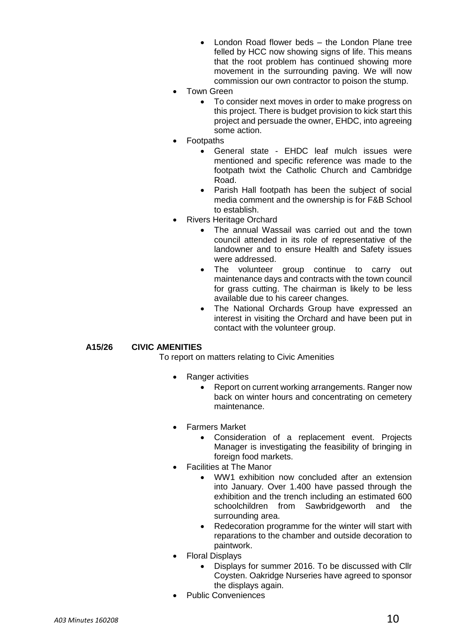- London Road flower beds the London Plane tree felled by HCC now showing signs of life. This means that the root problem has continued showing more movement in the surrounding paving. We will now commission our own contractor to poison the stump.
- Town Green
	- To consider next moves in order to make progress on this project. There is budget provision to kick start this project and persuade the owner, EHDC, into agreeing some action.
- **Footpaths** 
	- General state EHDC leaf mulch issues were mentioned and specific reference was made to the footpath twixt the Catholic Church and Cambridge Road.
	- Parish Hall footpath has been the subject of social media comment and the ownership is for F&B School to establish.
- Rivers Heritage Orchard
	- The annual Wassail was carried out and the town council attended in its role of representative of the landowner and to ensure Health and Safety issues were addressed.
	- The volunteer group continue to carry out maintenance days and contracts with the town council for grass cutting. The chairman is likely to be less available due to his career changes.
	- The National Orchards Group have expressed an interest in visiting the Orchard and have been put in contact with the volunteer group.

### **A15/26 CIVIC AMENITIES**

To report on matters relating to Civic Amenities

- Ranger activities
	- Report on current working arrangements. Ranger now back on winter hours and concentrating on cemetery maintenance.
- Farmers Market
	- Consideration of a replacement event. Projects Manager is investigating the feasibility of bringing in foreign food markets.
- Facilities at The Manor
	- WW1 exhibition now concluded after an extension into January. Over 1.400 have passed through the exhibition and the trench including an estimated 600 schoolchildren from Sawbridgeworth and the surrounding area.
	- Redecoration programme for the winter will start with reparations to the chamber and outside decoration to paintwork.
- Floral Displays
	- Displays for summer 2016. To be discussed with Cllr Coysten. Oakridge Nurseries have agreed to sponsor the displays again.
- Public Conveniences